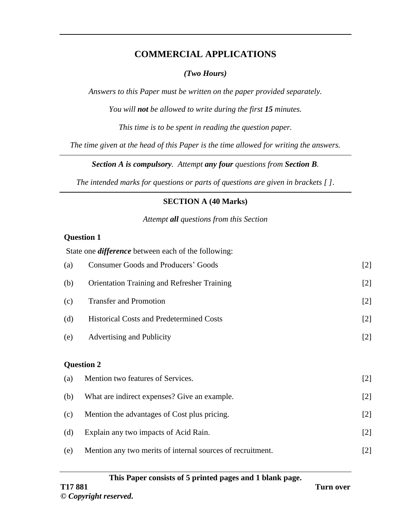## **COMMERCIAL APPLICATIONS**

## *(Two Hours)*

*Answers to this Paper must be written on the paper provided separately.*

*You will not be allowed to write during the first 15 minutes.*

*This time is to be spent in reading the question paper.*

*The time given at the head of this Paper is the time allowed for writing the answers.*

*Section A is compulsory. Attempt any four questions from Section B.*

*The intended marks for questions or parts of questions are given in brackets [ ]*.

## **SECTION A (40 Marks)**

*Attempt all questions from this Section*

## **Question 1**

State one *difference* between each of the following: (a) Consumer Goods and Producers' Goods [2] (b) Orientation Training and Refresher Training [2] (c) Transfer and Promotion [2] (d) Historical Costs and Predetermined Costs [2] (e) Advertising and Publicity [2] **Question 2**  (a) Mention two features of Services. [2] (b) What are indirect expenses? Give an example. [2] (c) Mention the advantages of Cost plus pricing. [2] (d) Explain any two impacts of Acid Rain. [2] (e) Mention any two merits of internal sources of recruitment. [2]

#### **This Paper consists of 5 printed pages and 1 blank page.**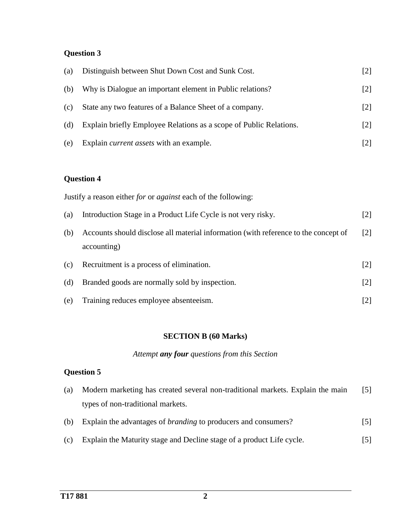## **Question 3**

| (a) | Distinguish between Shut Down Cost and Sunk Cost.                  | $\lfloor 2 \rfloor$ |
|-----|--------------------------------------------------------------------|---------------------|
| (b) | Why is Dialogue an important element in Public relations?          | [2]                 |
| (c) | State any two features of a Balance Sheet of a company.            | [2]                 |
| (d) | Explain briefly Employee Relations as a scope of Public Relations. | $[2]$               |
| (e) | Explain <i>current assets</i> with an example.                     | [2]                 |

## **Question 4**

|     | Justify a reason either <i>for</i> or <i>against</i> each of the following:                        |                   |
|-----|----------------------------------------------------------------------------------------------------|-------------------|
| (a) | Introduction Stage in a Product Life Cycle is not very risky.                                      | $\lceil 2 \rceil$ |
| (b) | Accounts should disclose all material information (with reference to the concept of<br>accounting) | $\lceil 2 \rceil$ |
| (c) | Recruitment is a process of elimination.                                                           | $\lceil 2 \rceil$ |
| (d) | Branded goods are normally sold by inspection.                                                     | $\lceil 2 \rceil$ |
| (e) | Training reduces employee absenteeism.                                                             | [2]               |

#### **SECTION B (60 Marks)**

## *Attempt any four questions from this Section*

#### **Question 5**

- (a) Modern marketing has created several non-traditional markets. Explain the main types of non-traditional markets. [5]
- (b) Explain the advantages of *branding* to producers and consumers? [5]
- (c) Explain the Maturity stage and Decline stage of a product Life cycle. [5]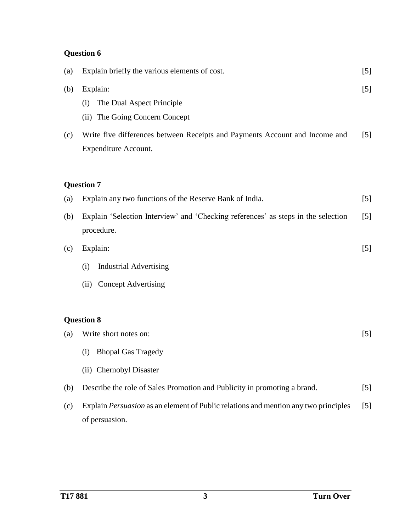# **Question 6**

| (a)        | Explain briefly the various elements of cost.                                                                                                                 | $[5]$          |
|------------|---------------------------------------------------------------------------------------------------------------------------------------------------------------|----------------|
| (b)<br>(c) | Explain:<br>The Dual Aspect Principle<br>(i)<br>(ii) The Going Concern Concept<br>Write five differences between Receipts and Payments Account and Income and | $[5]$<br>$[5]$ |
|            | <b>Expenditure Account.</b><br><b>Question 7</b>                                                                                                              |                |
| (a)        | Explain any two functions of the Reserve Bank of India.                                                                                                       | $[5]$          |
| (b)        | Explain 'Selection Interview' and 'Checking references' as steps in the selection<br>procedure.                                                               | $[5]$          |
| (c)        | Explain:                                                                                                                                                      | $[5]$          |
|            | <b>Industrial Advertising</b><br>(i)                                                                                                                          |                |
|            | <b>Concept Advertising</b><br>(ii)                                                                                                                            |                |
|            | <b>Question 8</b>                                                                                                                                             |                |
| (a)        | Write short notes on:                                                                                                                                         | $[5]$          |
|            | <b>Bhopal Gas Tragedy</b><br>(i)                                                                                                                              |                |
|            | (ii) Chernobyl Disaster                                                                                                                                       |                |
| (b)        | Describe the role of Sales Promotion and Publicity in promoting a brand.                                                                                      | $[5]$          |
| (c)        | Explain <i>Persuasion</i> as an element of Public relations and mention any two principles<br>of persuasion.                                                  | [5]            |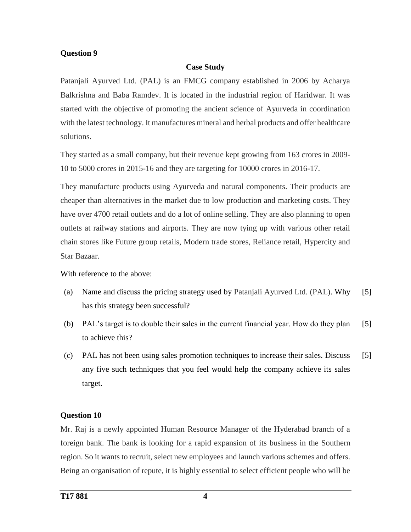#### **Question 9**

#### **Case Study**

Patanjali Ayurved Ltd. (PAL) is an FMCG company established in 2006 by Acharya Balkrishna and Baba Ramdev. It is located in the industrial region of Haridwar. It was started with the objective of promoting the ancient science of Ayurveda in coordination with the latest technology. It manufactures mineral and herbal products and offer healthcare solutions.

They started as a small company, but their revenue kept growing from 163 crores in 2009- 10 to 5000 crores in 2015-16 and they are targeting for 10000 crores in 2016-17.

They manufacture products using Ayurveda and natural components. Their products are cheaper than alternatives in the market due to low production and marketing costs. They have over 4700 retail outlets and do a lot of online selling. They are also planning to open outlets at railway stations and airports. They are now tying up with various other retail chain stores like Future group retails, Modern trade stores, Reliance retail, Hypercity and Star Bazaar.

With reference to the above:

- (a) Name and discuss the pricing strategy used by Patanjali Ayurved Ltd. (PAL). Why has this strategy been successful? [5]
- (b) PAL's target is to double their sales in the current financial year. How do they plan to achieve this? [5]
- (c) PAL has not been using sales promotion techniques to increase their sales. Discuss any five such techniques that you feel would help the company achieve its sales target. [5]

## **Question 10**

Mr. Raj is a newly appointed Human Resource Manager of the Hyderabad branch of a foreign bank. The bank is looking for a rapid expansion of its business in the Southern region. So it wants to recruit, select new employees and launch various schemes and offers. Being an organisation of repute, it is highly essential to select efficient people who will be